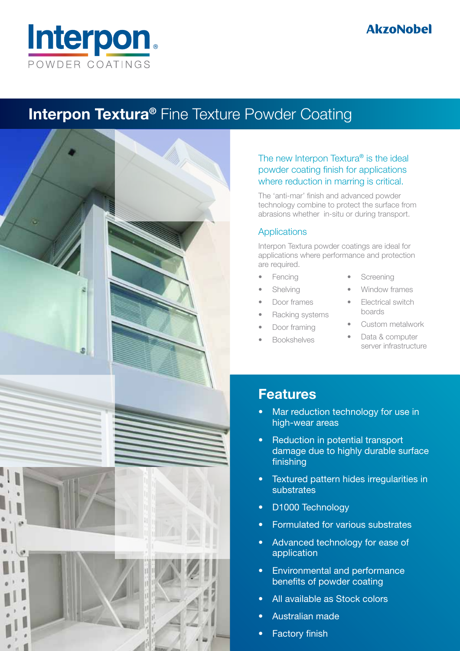

## **Interpon Textura<sup>®</sup>** Fine Texture Powder Coating



#### The new Interpon Textura® is the ideal powder coating finish for applications where reduction in marring is critical.

The 'anti-mar' finish and advanced powder technology combine to protect the surface from abrasions whether in-situ or during transport.

### **Applications**

Interpon Textura powder coatings are ideal for applications where performance and protection are required.

- **Fencing**
- **Shelving**
- Door frames
- Racking systems
- Door framing
- **Bookshelves**
- **Screening**
- Window frames
- **Flectrical switch** boards
- Custom metalwork
	- Data & computer server infrastructure

## Features

- Mar reduction technology for use in high-wear areas
- **Reduction in potential transport** damage due to highly durable surface finishing
- Textured pattern hides irregularities in substrates
- D1000 Technology
- **Formulated for various substrates**
- Advanced technology for ease of application
- Environmental and performance benefits of powder coating
- All available as Stock colors
- Australian made
- **Factory finish**